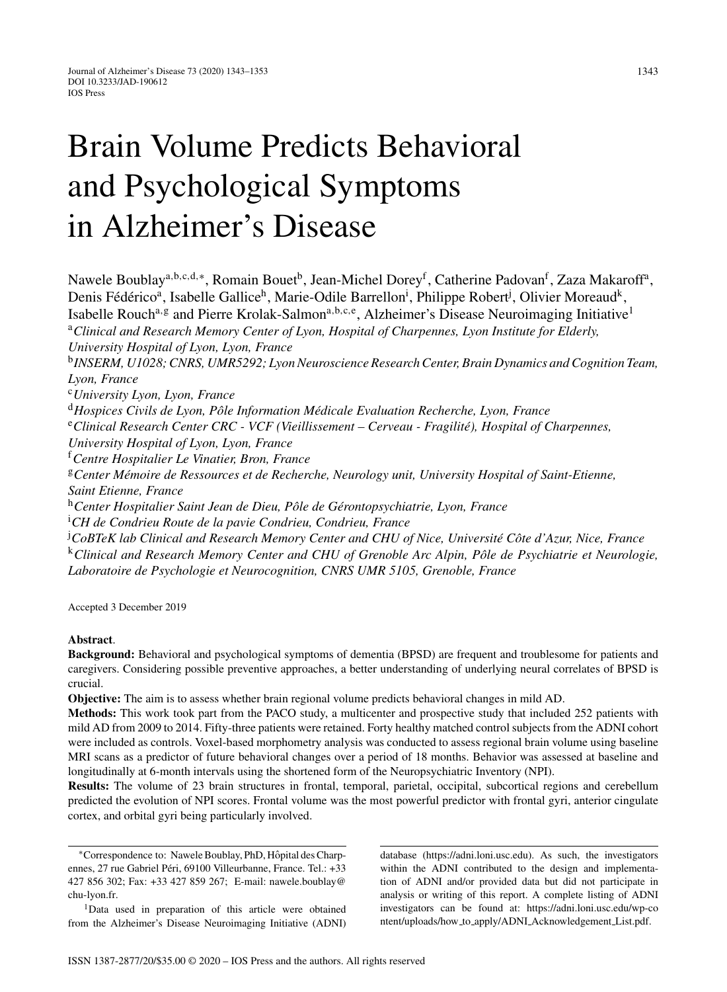# Brain Volume Predicts Behavioral and Psychological Symptoms in Alzheimer's Disease

Nawele Boublay<sup>a, b, c, d,∗</sup>, Romain Bouet<sup>b</sup>, Jean-Michel Dorey<sup>f</sup>, Catherine Padovan<sup>f</sup>, Zaza Makaroff<sup>a</sup>, Denis Fédérico<sup>a</sup>, Isabelle Gallice<sup>h</sup>, Marie-Odile Barrellon<sup>i</sup>, Philippe Robert<sup>j</sup>, Olivier Moreaud<sup>k</sup>, Isabelle Rouch<sup>a, g</sup> and Pierre Krolak-Salmon<sup>a, b, c, e</sup>, Alzheimer's Disease Neuroimaging Initiative<sup>1</sup> <sup>a</sup>*Clinical and Research Memory Center of Lyon, Hospital of Charpennes, Lyon Institute for Elderly, University Hospital of Lyon, Lyon, France* <sup>b</sup>*INSERM, U1028; CNRS, UMR5292; Lyon Neuroscience Research Center, Brain Dynamics and Cognition Team, Lyon, France* <sup>c</sup>*University Lyon, Lyon, France* <sup>d</sup> Hospices Civils de Lyon, Pôle Information Médicale Evaluation Recherche, Lyon, France <sup>e</sup>Clinical Research Center CRC - VCF (Vieillissement – Cerveau - Fragilité), Hospital of Charpennes, *University Hospital of Lyon, Lyon, France* <sup>f</sup>*Centre Hospitalier Le Vinatier, Bron, France* <sup>g</sup>*Center M´emoire de Ressources et de Recherche, Neurology unit, University Hospital of Saint-Etienne, Saint Etienne, France* <sup>h</sup>Center Hospitalier Saint Jean de Dieu, Pôle de Gérontopsychiatrie, Lyon, France i *CH de Condrieu Route de la pavie Condrieu, Condrieu, France* <sup>j</sup>CoBTeK lab Clinical and Research Memory Center and CHU of Nice, Université Côte d'Azur, Nice, France <sup>k</sup>*Clinical and Research Memory Center and CHU of Grenoble Arc Alpin, P ˆole de Psychiatrie et Neurologie, Laboratoire de Psychologie et Neurocognition, CNRS UMR 5105, Grenoble, France*

Accepted 3 December 2019

## **Abstract**.

**Background:** Behavioral and psychological symptoms of dementia (BPSD) are frequent and troublesome for patients and caregivers. Considering possible preventive approaches, a better understanding of underlying neural correlates of BPSD is crucial.

**Objective:** The aim is to assess whether brain regional volume predicts behavioral changes in mild AD.

**Methods:** This work took part from the PACO study, a multicenter and prospective study that included 252 patients with mild AD from 2009 to 2014. Fifty-three patients were retained. Forty healthy matched control subjects from the ADNI cohort were included as controls. Voxel-based morphometry analysis was conducted to assess regional brain volume using baseline MRI scans as a predictor of future behavioral changes over a period of 18 months. Behavior was assessed at baseline and longitudinally at 6-month intervals using the shortened form of the Neuropsychiatric Inventory (NPI).

**Results:** The volume of 23 brain structures in frontal, temporal, parietal, occipital, subcortical regions and cerebellum predicted the evolution of NPI scores. Frontal volume was the most powerful predictor with frontal gyri, anterior cingulate cortex, and orbital gyri being particularly involved.

∗Correspondence to: Nawele Boublay, PhD, Hopital des Charp- ˆ ennes, 27 rue Gabriel Péri, 69100 Villeurbanne, France. Tel.: +33 427 856 302; Fax: +33 427 859 267; E-mail: [nawele.boublay@](mailto:nawele.boublay@{penalty -@M }chu-lyon.fr) chu-lyon.fr.

1Data used in preparation of this article were obtained from the Alzheimer's Disease Neuroimaging Initiative (ADNI) database [\(https://adni.loni.usc.edu\)](https://adni.loni.usc.edu). As such, the investigators within the ADNI contributed to the design and implementation of ADNI and/or provided data but did not participate in analysis or writing of this report. A complete listing of ADNI investigators can be found at: [https://adni.loni.usc.edu/wp-co](https://adni.loni.usc.edu/wp-content/uploads/how_to_apply/ADNI_Acknowledgement_List.pdf) ntent/uploads/how to apply/ADNI [Acknowledgement](https://adni.loni.usc.edu/wp-content/uploads/how_to_apply/ADNI_Acknowledgement_List.pdf) List.pdf.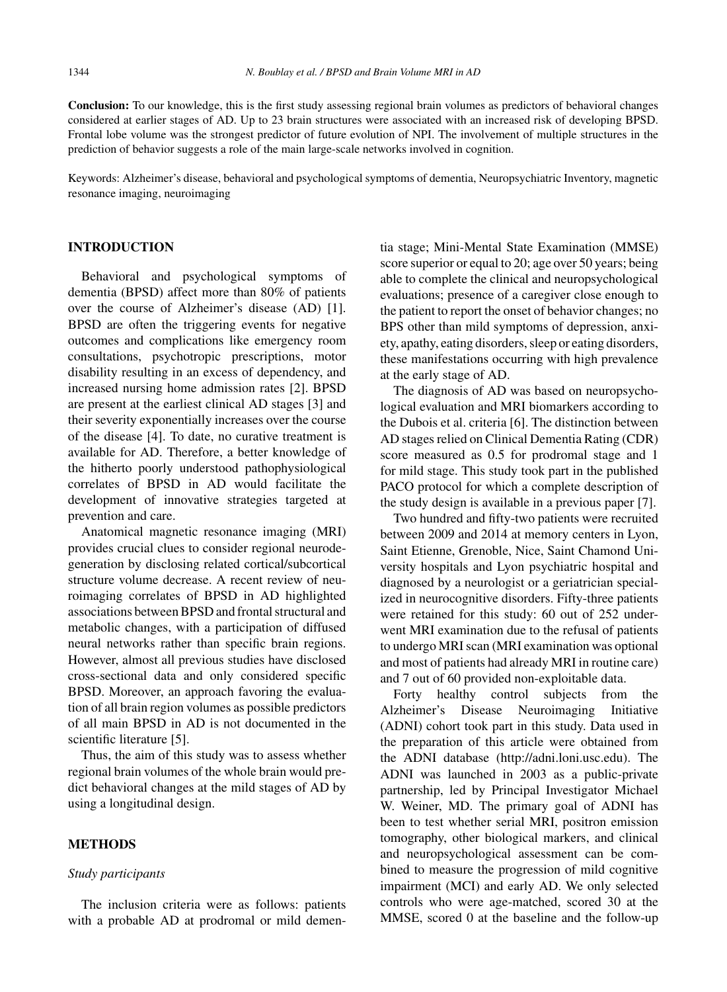**Conclusion:** To our knowledge, this is the first study assessing regional brain volumes as predictors of behavioral changes considered at earlier stages of AD. Up to 23 brain structures were associated with an increased risk of developing BPSD. Frontal lobe volume was the strongest predictor of future evolution of NPI. The involvement of multiple structures in the prediction of behavior suggests a role of the main large-scale networks involved in cognition.

Keywords: Alzheimer's disease, behavioral and psychological symptoms of dementia, Neuropsychiatric Inventory, magnetic resonance imaging, neuroimaging

## **INTRODUCTION**

Behavioral and psychological symptoms of dementia (BPSD) affect more than 80% of patients over the course of Alzheimer's disease (AD) [1]. BPSD are often the triggering events for negative outcomes and complications like emergency room consultations, psychotropic prescriptions, motor disability resulting in an excess of dependency, and increased nursing home admission rates [2]. BPSD are present at the earliest clinical AD stages [3] and their severity exponentially increases over the course of the disease [4]. To date, no curative treatment is available for AD. Therefore, a better knowledge of the hitherto poorly understood pathophysiological correlates of BPSD in AD would facilitate the development of innovative strategies targeted at prevention and care.

Anatomical magnetic resonance imaging (MRI) provides crucial clues to consider regional neurodegeneration by disclosing related cortical/subcortical structure volume decrease. A recent review of neuroimaging correlates of BPSD in AD highlighted associations between BPSD and frontal structural and metabolic changes, with a participation of diffused neural networks rather than specific brain regions. However, almost all previous studies have disclosed cross-sectional data and only considered specific BPSD. Moreover, an approach favoring the evaluation of all brain region volumes as possible predictors of all main BPSD in AD is not documented in the scientific literature [5].

Thus, the aim of this study was to assess whether regional brain volumes of the whole brain would predict behavioral changes at the mild stages of AD by using a longitudinal design.

## **METHODS**

## *Study participants*

The inclusion criteria were as follows: patients with a probable AD at prodromal or mild dementia stage; Mini-Mental State Examination (MMSE) score superior or equal to 20; age over 50 years; being able to complete the clinical and neuropsychological evaluations; presence of a caregiver close enough to the patient to report the onset of behavior changes; no BPS other than mild symptoms of depression, anxiety, apathy, eating disorders, sleep or eating disorders, these manifestations occurring with high prevalence at the early stage of AD.

The diagnosis of AD was based on neuropsychological evaluation and MRI biomarkers according to the Dubois et al. criteria [6]. The distinction between AD stages relied on Clinical Dementia Rating (CDR) score measured as 0.5 for prodromal stage and 1 for mild stage. This study took part in the published PACO protocol for which a complete description of the study design is available in a previous paper [7].

Two hundred and fifty-two patients were recruited between 2009 and 2014 at memory centers in Lyon, Saint Etienne, Grenoble, Nice, Saint Chamond University hospitals and Lyon psychiatric hospital and diagnosed by a neurologist or a geriatrician specialized in neurocognitive disorders. Fifty-three patients were retained for this study: 60 out of 252 underwent MRI examination due to the refusal of patients to undergo MRI scan (MRI examination was optional and most of patients had already MRI in routine care) and 7 out of 60 provided non-exploitable data.

Forty healthy control subjects from the Alzheimer's Disease Neuroimaging Initiative (ADNI) cohort took part in this study. Data used in the preparation of this article were obtained from the ADNI database [\(http://adni.loni.usc.edu\)](http://adni.loni.usc.edu). The ADNI was launched in 2003 as a public-private partnership, led by Principal Investigator Michael W. Weiner, MD. The primary goal of ADNI has been to test whether serial MRI, positron emission tomography, other biological markers, and clinical and neuropsychological assessment can be combined to measure the progression of mild cognitive impairment (MCI) and early AD. We only selected controls who were age-matched, scored 30 at the MMSE, scored 0 at the baseline and the follow-up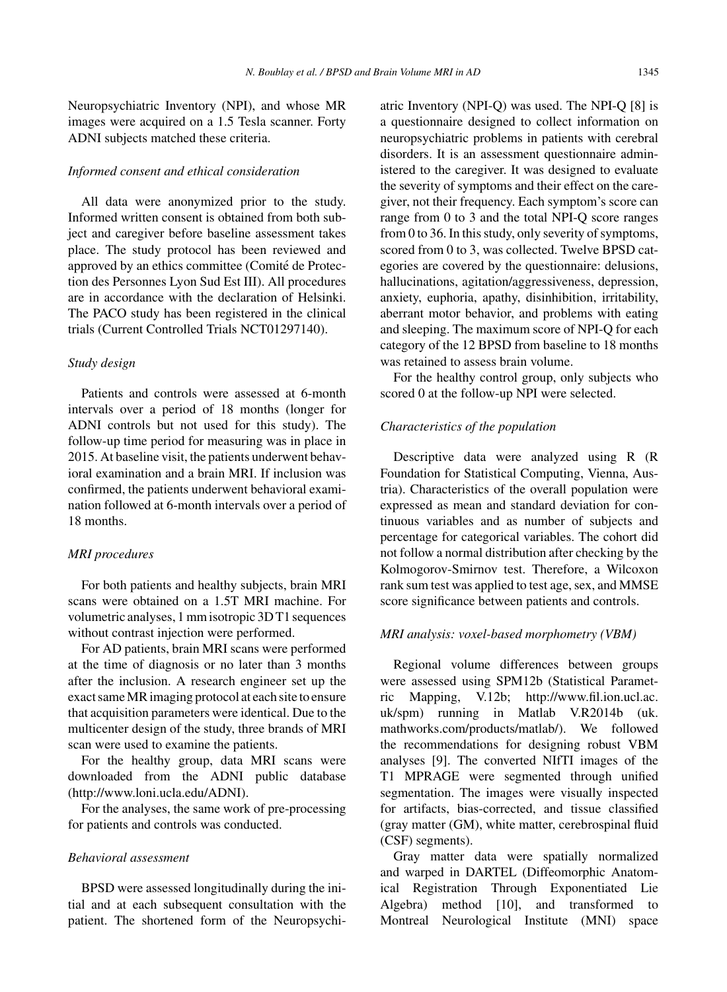Neuropsychiatric Inventory (NPI), and whose MR images were acquired on a 1.5 Tesla scanner. Forty ADNI subjects matched these criteria.

#### *Informed consent and ethical consideration*

All data were anonymized prior to the study. Informed written consent is obtained from both subject and caregiver before baseline assessment takes place. The study protocol has been reviewed and approved by an ethics committee (Comité de Protection des Personnes Lyon Sud Est III). All procedures are in accordance with the declaration of Helsinki. The PACO study has been registered in the clinical trials (Current Controlled Trials NCT01297140).

#### *Study design*

Patients and controls were assessed at 6-month intervals over a period of 18 months (longer for ADNI controls but not used for this study). The follow-up time period for measuring was in place in 2015. At baseline visit, the patients underwent behavioral examination and a brain MRI. If inclusion was confirmed, the patients underwent behavioral examination followed at 6-month intervals over a period of 18 months.

#### *MRI procedures*

For both patients and healthy subjects, brain MRI scans were obtained on a 1.5T MRI machine. For volumetric analyses, 1 mm isotropic 3D T1 sequences without contrast injection were performed.

For AD patients, brain MRI scans were performed at the time of diagnosis or no later than 3 months after the inclusion. A research engineer set up the exact same MR imaging protocol at each site to ensure that acquisition parameters were identical. Due to the multicenter design of the study, three brands of MRI scan were used to examine the patients.

For the healthy group, data MRI scans were downloaded from the ADNI public database [\(http://www.loni.ucla.edu/ADNI\)](http://www.loni.ucla.edu/ADNI).

For the analyses, the same work of pre-processing for patients and controls was conducted.

## *Behavioral assessment*

BPSD were assessed longitudinally during the initial and at each subsequent consultation with the patient. The shortened form of the Neuropsychiatric Inventory (NPI-Q) was used. The NPI-Q [8] is a questionnaire designed to collect information on neuropsychiatric problems in patients with cerebral disorders. It is an assessment questionnaire administered to the caregiver. It was designed to evaluate the severity of symptoms and their effect on the caregiver, not their frequency. Each symptom's score can range from 0 to 3 and the total NPI-Q score ranges from 0 to 36. In this study, only severity of symptoms, scored from 0 to 3, was collected. Twelve BPSD categories are covered by the questionnaire: delusions, hallucinations, agitation/aggressiveness, depression, anxiety, euphoria, apathy, disinhibition, irritability, aberrant motor behavior, and problems with eating and sleeping. The maximum score of NPI-Q for each category of the 12 BPSD from baseline to 18 months was retained to assess brain volume.

For the healthy control group, only subjects who scored 0 at the follow-up NPI were selected.

#### *Characteristics of the population*

Descriptive data were analyzed using R (R Foundation for Statistical Computing, Vienna, Austria). Characteristics of the overall population were expressed as mean and standard deviation for continuous variables and as number of subjects and percentage for categorical variables. The cohort did not follow a normal distribution after checking by the Kolmogorov-Smirnov test. Therefore, a Wilcoxon rank sum test was applied to test age, sex, and MMSE score significance between patients and controls.

#### *MRI analysis: voxel-based morphometry (VBM)*

Regional volume differences between groups were assessed using SPM12b (Statistical Parametric Mapping, V.12b; [http://www.fil.ion.ucl.ac.](http://www.fil.ion.ucl.ac.uk/spm) [uk/spm](http://www.fil.ion.ucl.ac.uk/spm)) running in Matlab V.R2014b (uk. mathworks.com/products/matlab/). We followed the recommendations for designing robust VBM analyses [9]. The converted NIfTI images of the T1 MPRAGE were segmented through unified segmentation. The images were visually inspected for artifacts, bias-corrected, and tissue classified (gray matter (GM), white matter, cerebrospinal fluid (CSF) segments).

Gray matter data were spatially normalized and warped in DARTEL (Diffeomorphic Anatomical Registration Through Exponentiated Lie Algebra) method [10], and transformed to Montreal Neurological Institute (MNI) space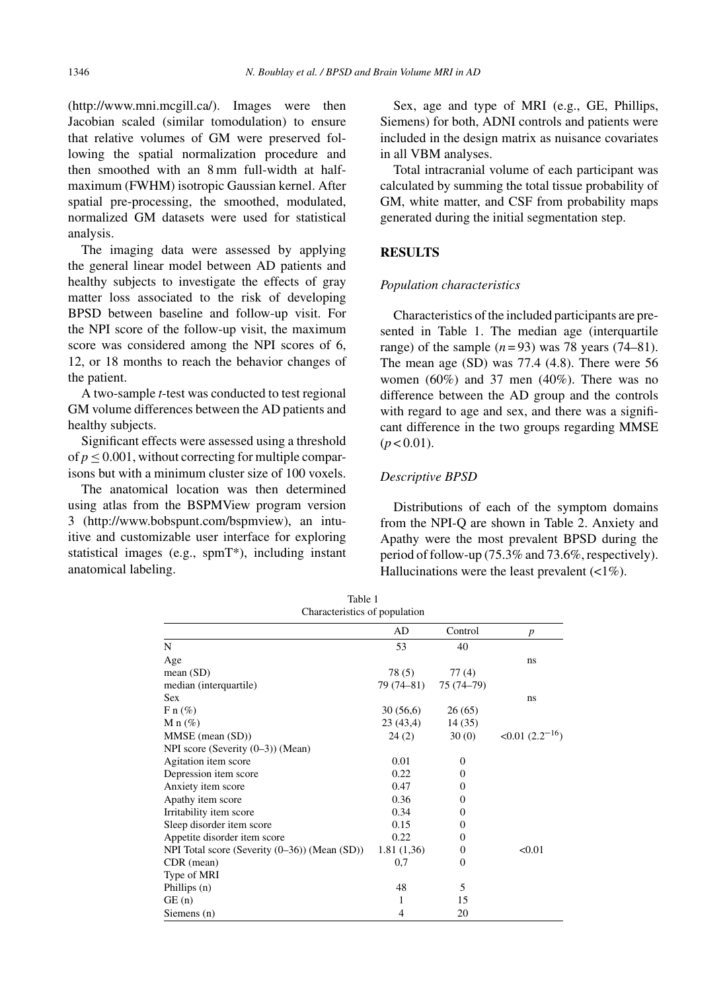[\(http://www.mni.mcgill.ca/](http://www.mni.mcgill.ca/)). Images were then Jacobian scaled (similar tomodulation) to ensure that relative volumes of GM were preserved following the spatial normalization procedure and then smoothed with an 8 mm full-width at halfmaximum (FWHM) isotropic Gaussian kernel. After spatial pre-processing, the smoothed, modulated, normalized GM datasets were used for statistical analysis.

The imaging data were assessed by applying the general linear model between AD patients and healthy subjects to investigate the effects of gray matter loss associated to the risk of developing BPSD between baseline and follow-up visit. For the NPI score of the follow-up visit, the maximum score was considered among the NPI scores of 6, 12, or 18 months to reach the behavior changes of the patient.

A two-sample *t*-test was conducted to test regional GM volume differences between the AD patients and healthy subjects.

Significant effects were assessed using a threshold of  $p < 0.001$ , without correcting for multiple comparisons but with a minimum cluster size of 100 voxels.

The anatomical location was then determined using atlas from the BSPMView program version 3 ([http://www.bobspunt.com/bspmview\)](http://www.bobspunt.com/bspmview), an intuitive and customizable user interface for exploring statistical images (e.g., spmT\*), including instant anatomical labeling.

Sex, age and type of MRI (e.g., GE, Phillips, Siemens) for both, ADNI controls and patients were included in the design matrix as nuisance covariates in all VBM analyses.

Total intracranial volume of each participant was calculated by summing the total tissue probability of GM, white matter, and CSF from probability maps generated during the initial segmentation step.

# **RESULTS**

## *Population characteristics*

Characteristics of the included participants are presented in Table 1. The median age (interquartile range) of the sample  $(n=93)$  was 78 years (74–81). The mean age (SD) was 77.4 (4.8). There were 56 women  $(60\%)$  and 37 men  $(40\%)$ . There was no difference between the AD group and the controls with regard to age and sex, and there was a significant difference in the two groups regarding MMSE  $(p < 0.01)$ .

## *Descriptive BPSD*

Distributions of each of the symptom domains from the NPI-Q are shown in Table 2. Anxiety and Apathy were the most prevalent BPSD during the period of follow-up (75.3% and 73.6%, respectively). Hallucinations were the least prevalent  $\left(\langle 1\% \rangle \right)$ .

| Characterístics of population                       |                |              |                    |  |  |  |  |  |  |
|-----------------------------------------------------|----------------|--------------|--------------------|--|--|--|--|--|--|
|                                                     | AD             | Control      | p                  |  |  |  |  |  |  |
| N                                                   | 53             | 40           |                    |  |  |  |  |  |  |
| Age                                                 |                |              | ns                 |  |  |  |  |  |  |
| mean $(SD)$                                         | 78(5)          | 77(4)        |                    |  |  |  |  |  |  |
| median (interquartile)                              | 79 (74–81)     | 75 (74-79)   |                    |  |  |  |  |  |  |
| Sex                                                 |                |              | ns                 |  |  |  |  |  |  |
| $F n (\%)$                                          | 30(56,6)       | 26(65)       |                    |  |  |  |  |  |  |
| M n $(\%)$                                          | 23(43,4)       | 14 (35)      |                    |  |  |  |  |  |  |
| MMSE (mean (SD))                                    | 24(2)          | 30(0)        | $<0.01(2.2^{-16})$ |  |  |  |  |  |  |
| NPI score (Severity (0–3)) (Mean)                   |                |              |                    |  |  |  |  |  |  |
| Agitation item score                                | 0.01           | $\Omega$     |                    |  |  |  |  |  |  |
| Depression item score                               | 0.22           | 0            |                    |  |  |  |  |  |  |
| Anxiety item score                                  | 0.47           | $\Omega$     |                    |  |  |  |  |  |  |
| Apathy item score                                   | 0.36           | 0            |                    |  |  |  |  |  |  |
| Irritability item score                             | 0.34           | $\Omega$     |                    |  |  |  |  |  |  |
| Sleep disorder item score                           | 0.15           | $\Omega$     |                    |  |  |  |  |  |  |
| Appetite disorder item score                        | 0.22           | $\Omega$     |                    |  |  |  |  |  |  |
| NPI Total score (Severity $(0-36)$ ) (Mean $(SD)$ ) | 1.81(1,36)     | $\Omega$     | < 0.01             |  |  |  |  |  |  |
| CDR (mean)                                          | 0,7            | $\mathbf{0}$ |                    |  |  |  |  |  |  |
| Type of MRI                                         |                |              |                    |  |  |  |  |  |  |
| Phillips (n)                                        | 48             | 5            |                    |  |  |  |  |  |  |
| GE(n)                                               | 1              | 15           |                    |  |  |  |  |  |  |
| Siemens (n)                                         | $\overline{4}$ | 20           |                    |  |  |  |  |  |  |

Table 1 Characteristics of population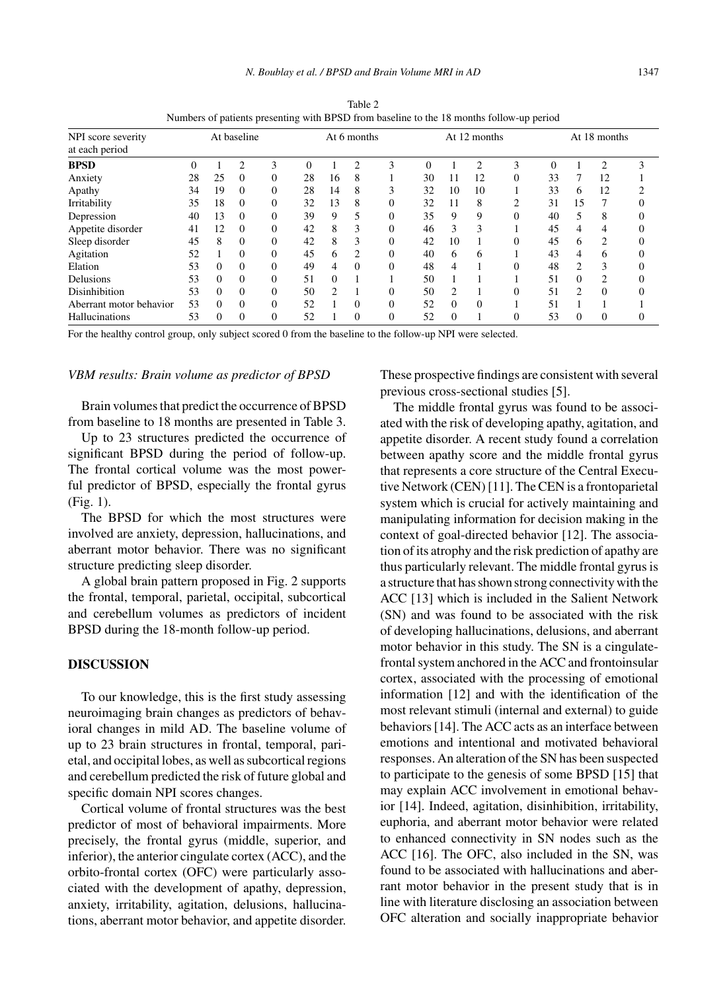|                                      | Table 2<br>Numbers of patients presenting with BPSD from baseline to the 18 months follow-up period |             |          |    |             |               |     |                         |    |               |              |          |    |  |  |  |
|--------------------------------------|-----------------------------------------------------------------------------------------------------|-------------|----------|----|-------------|---------------|-----|-------------------------|----|---------------|--------------|----------|----|--|--|--|
| NPI score severity<br>at each period |                                                                                                     | At baseline |          |    | At 6 months |               |     | At 12 months            |    |               | At 18 months |          |    |  |  |  |
| BPSD                                 |                                                                                                     |             |          | -3 |             | $0 \t 1 \t 2$ |     | $\overline{\mathbf{3}}$ |    | $0 \t 1 \t 2$ |              | -3.      |    |  |  |  |
| Anxiety                              | 28                                                                                                  |             | $\theta$ |    | 28          | 16            | - 8 |                         | 30 | -11           | 12           | $\theta$ | 33 |  |  |  |

Numbers of patients presenting

Apathy 34 19 0 0 28 14 8 3 32 10 10 1 33 6 12 2 Irritability 35 18 0 0 32 13 8 0 32 11 8 2 31 15 7 0 Depression 40 13 0 0 39 9 5 0 35 9 9 0 40 5 8 0 Appetite disorder  $\begin{array}{ccccccccc} 41 & 12 & 0 & 0 & 42 & 8 & 3 & 0 & 46 & 3 & 3 & 1 & 45 & 4 & 4 & 0 \end{array}$ Sleep disorder 45 8 0 0 42 8 3 0 42 10 1 0 45 6 2 0 Agitation 52 1 0 0 45 6 2 0 40 6 6 1 43 4 6 0 Elation 53 0 0 0 49 4 0 0 48 4 1 0 48 2 3 0 Delusions 53 0 0 0 0 51 0 1 1 50 1 1 1 51 0 2 0 Disinhibition 53 0 0 0 50 2 1 0 50 2 1 0 51 2 0 0 Aberrant motor behavior 53 0 0 0 52 1 0 0 52 0 0 1 51 1 1 1 Hallucinations 53 0 0 0 52 1 0 0 52 0 1 0 53 0 0 0

For the healthy control group, only subject scored 0 from the baseline to the follow-up NPI were selected.

#### *VBM results: Brain volume as predictor of BPSD*

Brain volumes that predict the occurrence of BPSD from baseline to 18 months are presented in Table 3.

Up to 23 structures predicted the occurrence of significant BPSD during the period of follow-up. The frontal cortical volume was the most powerful predictor of BPSD, especially the frontal gyrus (Fig. 1).

The BPSD for which the most structures were involved are anxiety, depression, hallucinations, and aberrant motor behavior. There was no significant structure predicting sleep disorder.

A global brain pattern proposed in Fig. 2 supports the frontal, temporal, parietal, occipital, subcortical and cerebellum volumes as predictors of incident BPSD during the 18-month follow-up period.

## **DISCUSSION**

To our knowledge, this is the first study assessing neuroimaging brain changes as predictors of behavioral changes in mild AD. The baseline volume of up to 23 brain structures in frontal, temporal, parietal, and occipital lobes, as well as subcortical regions and cerebellum predicted the risk of future global and specific domain NPI scores changes.

Cortical volume of frontal structures was the best predictor of most of behavioral impairments. More precisely, the frontal gyrus (middle, superior, and inferior), the anterior cingulate cortex (ACC), and the orbito-frontal cortex (OFC) were particularly associated with the development of apathy, depression, anxiety, irritability, agitation, delusions, hallucinations, aberrant motor behavior, and appetite disorder.

These prospective findings are consistent with several previous cross-sectional studies [5].

The middle frontal gyrus was found to be associated with the risk of developing apathy, agitation, and appetite disorder. A recent study found a correlation between apathy score and the middle frontal gyrus that represents a core structure of the Central Executive Network (CEN) [11]. The CEN is a frontoparietal system which is crucial for actively maintaining and manipulating information for decision making in the context of goal-directed behavior [12]. The association of its atrophy and the risk prediction of apathy are thus particularly relevant. The middle frontal gyrus is a structure that has shown strong connectivity with the ACC [13] which is included in the Salient Network (SN) and was found to be associated with the risk of developing hallucinations, delusions, and aberrant motor behavior in this study. The SN is a cingulatefrontal system anchored in the ACC and frontoinsular cortex, associated with the processing of emotional information [12] and with the identification of the most relevant stimuli (internal and external) to guide behaviors [14]. The ACC acts as an interface between emotions and intentional and motivated behavioral responses. An alteration of the SN has been suspected to participate to the genesis of some BPSD [15] that may explain ACC involvement in emotional behavior [14]. Indeed, agitation, disinhibition, irritability, euphoria, and aberrant motor behavior were related to enhanced connectivity in SN nodes such as the ACC [16]. The OFC, also included in the SN, was found to be associated with hallucinations and aberrant motor behavior in the present study that is in line with literature disclosing an association between OFC alteration and socially inappropriate behavior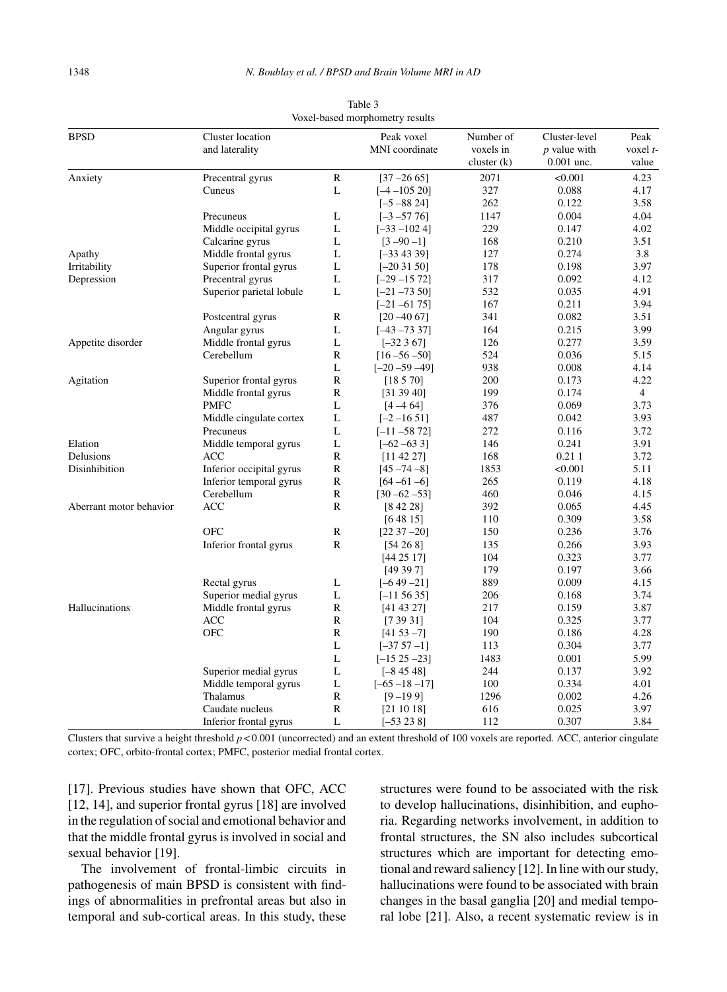| <b>BPSD</b>             | Cluster location<br>and laterality    |                   | Peak voxel<br>MNI coordinate | Number of<br>voxels in<br>cluster (k) | Cluster-level<br>$p$ value with<br>$0.001$ unc. | Peak<br>voxel t-<br>value |
|-------------------------|---------------------------------------|-------------------|------------------------------|---------------------------------------|-------------------------------------------------|---------------------------|
| Anxiety                 | Precentral gyrus                      | $\mathbb{R}$      | $[37 - 26 65]$               | 2071                                  | < 0.001                                         | 4.23                      |
|                         | Cuneus                                | L                 | $[-4 - 105 20]$              | 327                                   | 0.088                                           | 4.17                      |
|                         |                                       |                   | $[-5 - 88 24]$               | 262                                   | 0.122                                           | 3.58                      |
|                         | Precuneus                             | L                 | $[-3 - 57 76]$               | 1147                                  | 0.004                                           | 4.04                      |
|                         | Middle occipital gyrus                | L                 | $[-33 - 1024]$               | 229                                   | 0.147                                           | 4.02                      |
|                         | Calcarine gyrus                       | L                 | $[3 - 90 - 1]$               | 168                                   | 0.210                                           | 3.51                      |
| Apathy                  | Middle frontal gyrus                  | $\mathbf L$       | $[-334339]$                  | 127                                   | 0.274                                           | 3.8                       |
| Irritability            | Superior frontal gyrus                | $\mathbf L$       | $[-20 31 50]$                | 178                                   | 0.198                                           | 3.97                      |
| Depression              | Precentral gyrus                      | L                 | $[-29 - 1572]$               | 317                                   | 0.092                                           | 4.12                      |
|                         | Superior parietal lobule              | L                 | $[-21 - 7350]$               | 532                                   | 0.035                                           | 4.91                      |
|                         |                                       |                   |                              | 167                                   | 0.211                                           | 3.94                      |
|                         | Postcentral gyrus                     | R                 | $[-21 - 6175]$               | 341                                   | 0.082                                           | 3.51                      |
|                         |                                       | L                 | $[20 - 40 67]$               | 164                                   | 0.215                                           | 3.99                      |
|                         | Angular gyrus<br>Middle frontal gyrus | $\mathbf L$       | $[-43 - 7337]$               | 126                                   | 0.277                                           | 3.59                      |
| Appetite disorder       | Cerebellum                            | $\mathbb{R}$      | $[-32367]$                   | 524                                   | 0.036                                           | 5.15                      |
|                         |                                       | L                 | $[16 - 56 - 50]$             | 938                                   | 0.008                                           | 4.14                      |
|                         |                                       | ${\bf R}$         | $[-20 - 59 - 49]$            |                                       |                                                 | 4.22                      |
| Agitation               | Superior frontal gyrus                |                   | [18570]                      | 200                                   | 0.173                                           |                           |
|                         | Middle frontal gyrus<br><b>PMFC</b>   | $\mathbb{R}$<br>L | [31 39 40]                   | 199                                   | 0.174<br>0.069                                  | $\overline{4}$<br>3.73    |
|                         |                                       |                   | $[4 - 4 64]$                 | 376                                   |                                                 |                           |
|                         | Middle cingulate cortex               | L                 | $[-2 - 1651]$                | 487                                   | 0.042                                           | 3.93                      |
|                         | Precuneus                             | $\mathbf L$       | $[-11 - 58 72]$              | 272                                   | 0.116                                           | 3.72                      |
| Elation                 | Middle temporal gyrus                 | L                 | $[-62 - 633]$                | 146                                   | 0.241                                           | 3.91                      |
| Delusions               | ACC                                   | ${\bf R}$         | [11 42 27]                   | 168                                   | 0.211                                           | 3.72                      |
| Disinhibition           | Inferior occipital gyrus              | ${\bf R}$         | $[45 - 74 - 8]$              | 1853                                  | < 0.001                                         | 5.11                      |
|                         | Inferior temporal gyrus               | $\mathbb{R}$      | $[64 - 61 - 6]$              | 265                                   | 0.119                                           | 4.18                      |
|                         | Cerebellum                            | $\mathbb{R}$      | $[30 - 62 - 53]$             | 460                                   | 0.046                                           | 4.15                      |
| Aberrant motor behavior | <b>ACC</b>                            | $\mathbb{R}$      | [84228]                      | 392                                   | 0.065                                           | 4.45                      |
|                         |                                       |                   | [64815]                      | 110                                   | 0.309                                           | 3.58                      |
|                         | <b>OFC</b>                            | ${\bf R}$         | $[22 37 - 20]$               | 150                                   | 0.236                                           | 3.76                      |
|                         | Inferior frontal gyrus                | ${\bf R}$         | [54 26 8]                    | 135                                   | 0.266                                           | 3.93                      |
|                         |                                       |                   | [44 25 17]                   | 104                                   | 0.323                                           | 3.77                      |
|                         |                                       |                   | [49397]                      | 179                                   | 0.197                                           | 3.66                      |
|                         | Rectal gyrus                          | L                 | $[-649 - 21]$                | 889                                   | 0.009                                           | 4.15                      |
|                         | Superior medial gyrus                 | L                 | $[-115635]$                  | 206                                   | 0.168                                           | 3.74                      |
| Hallucinations          | Middle frontal gyrus                  | $\mathbb{R}$      | [41 43 27]                   | 217                                   | 0.159                                           | 3.87                      |
|                         | ACC                                   | R                 | [73931]                      | 104                                   | 0.325                                           | 3.77                      |
|                         | <b>OFC</b>                            | ${\bf R}$         | $[4153 - 7]$                 | 190                                   | 0.186                                           | 4.28                      |
|                         |                                       | L                 | $[-3757 -1]$                 | 113                                   | 0.304                                           | 3.77                      |
|                         |                                       | L                 | $[-15 \ 25 \ -23]$           | 1483                                  | 0.001                                           | 5.99                      |
|                         | Superior medial gyrus                 | L                 | $[-84548]$                   | 244                                   | 0.137                                           | 3.92                      |
|                         | Middle temporal gyrus                 | L                 | $[-65 - 18 - 17]$            | 100                                   | 0.334                                           | 4.01                      |
|                         | Thalamus                              | $\mathbb{R}$      | $[9 - 199]$                  | 1296                                  | 0.002                                           | 4.26                      |
|                         | Caudate nucleus                       | $\mathbb{R}$      | [21 10 18]                   | 616                                   | 0.025                                           | 3.97                      |
|                         | Inferior frontal gyrus                | L                 | $[-53 23 8]$                 | 112                                   | 0.307                                           | 3.84                      |

Table 3 Voxel-based morphometry results

Clusters that survive a height threshold  $p < 0.001$  (uncorrected) and an extent threshold of 100 voxels are reported. ACC, anterior cingulate cortex; OFC, orbito-frontal cortex; PMFC, posterior medial frontal cortex.

[17]. Previous studies have shown that OFC, ACC [12, 14], and superior frontal gyrus [18] are involved in the regulation of social and emotional behavior and that the middle frontal gyrus is involved in social and sexual behavior [19].

The involvement of frontal-limbic circuits in pathogenesis of main BPSD is consistent with findings of abnormalities in prefrontal areas but also in temporal and sub-cortical areas. In this study, these

structures were found to be associated with the risk to develop hallucinations, disinhibition, and euphoria. Regarding networks involvement, in addition to frontal structures, the SN also includes subcortical structures which are important for detecting emotional and reward saliency [12]. In line with our study, hallucinations were found to be associated with brain changes in the basal ganglia [20] and medial temporal lobe [21]. Also, a recent systematic review is in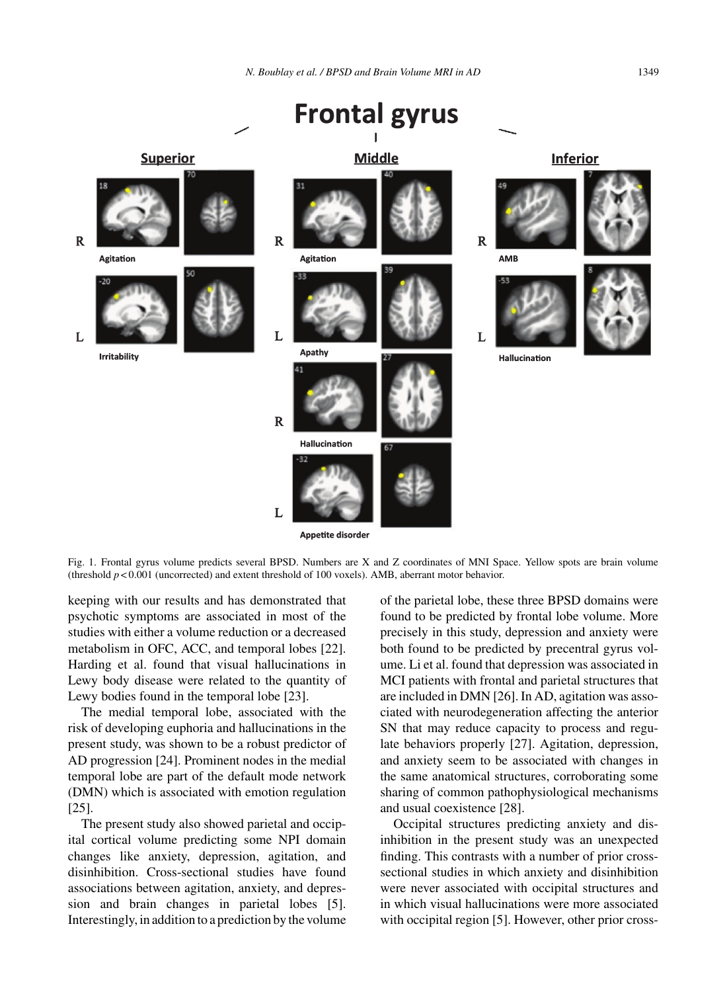

**Appetite disorder** 

Fig. 1. Frontal gyrus volume predicts several BPSD. Numbers are X and Z coordinates of MNI Space. Yellow spots are brain volume (threshold  $p < 0.001$  (uncorrected) and extent threshold of 100 voxels). AMB, aberrant motor behavior.

keeping with our results and has demonstrated that psychotic symptoms are associated in most of the studies with either a volume reduction or a decreased metabolism in OFC, ACC, and temporal lobes [22]. Harding et al. found that visual hallucinations in Lewy body disease were related to the quantity of Lewy bodies found in the temporal lobe [23].

The medial temporal lobe, associated with the risk of developing euphoria and hallucinations in the present study, was shown to be a robust predictor of AD progression [24]. Prominent nodes in the medial temporal lobe are part of the default mode network (DMN) which is associated with emotion regulation [25].

The present study also showed parietal and occipital cortical volume predicting some NPI domain changes like anxiety, depression, agitation, and disinhibition. Cross-sectional studies have found associations between agitation, anxiety, and depression and brain changes in parietal lobes [5]. Interestingly, in addition to a prediction by the volume of the parietal lobe, these three BPSD domains were found to be predicted by frontal lobe volume. More precisely in this study, depression and anxiety were both found to be predicted by precentral gyrus volume. Li et al. found that depression was associated in MCI patients with frontal and parietal structures that are included in DMN [26]. In AD, agitation was associated with neurodegeneration affecting the anterior SN that may reduce capacity to process and regulate behaviors properly [27]. Agitation, depression, and anxiety seem to be associated with changes in the same anatomical structures, corroborating some sharing of common pathophysiological mechanisms and usual coexistence [28].

Occipital structures predicting anxiety and disinhibition in the present study was an unexpected finding. This contrasts with a number of prior crosssectional studies in which anxiety and disinhibition were never associated with occipital structures and in which visual hallucinations were more associated with occipital region [5]. However, other prior cross-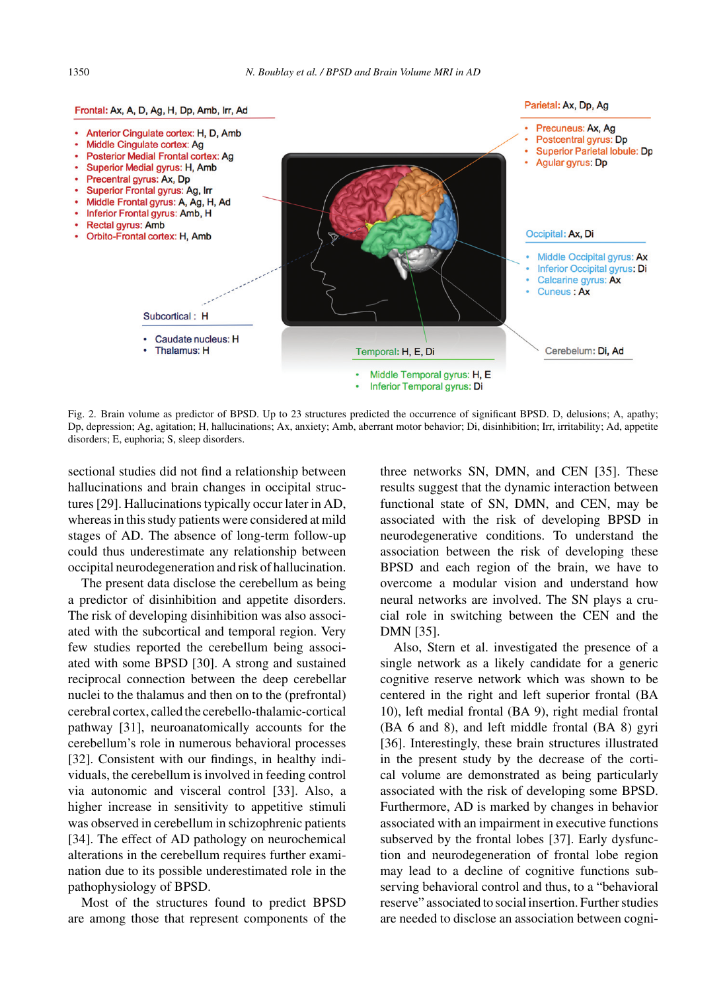

Fig. 2. Brain volume as predictor of BPSD. Up to 23 structures predicted the occurrence of significant BPSD. D, delusions; A, apathy; Dp, depression; Ag, agitation; H, hallucinations; Ax, anxiety; Amb, aberrant motor behavior; Di, disinhibition; Irr, irritability; Ad, appetite disorders; E, euphoria; S, sleep disorders.

sectional studies did not find a relationship between hallucinations and brain changes in occipital structures [29]. Hallucinations typically occur later in AD, whereas in this study patients were considered at mild stages of AD. The absence of long-term follow-up could thus underestimate any relationship between occipital neurodegeneration and risk of hallucination.

The present data disclose the cerebellum as being a predictor of disinhibition and appetite disorders. The risk of developing disinhibition was also associated with the subcortical and temporal region. Very few studies reported the cerebellum being associated with some BPSD [30]. A strong and sustained reciprocal connection between the deep cerebellar nuclei to the thalamus and then on to the (prefrontal) cerebral cortex, called the cerebello-thalamic-cortical pathway [31], neuroanatomically accounts for the cerebellum's role in numerous behavioral processes [32]. Consistent with our findings, in healthy individuals, the cerebellum is involved in feeding control via autonomic and visceral control [33]. Also, a higher increase in sensitivity to appetitive stimuli was observed in cerebellum in schizophrenic patients [34]. The effect of AD pathology on neurochemical alterations in the cerebellum requires further examination due to its possible underestimated role in the pathophysiology of BPSD.

Most of the structures found to predict BPSD are among those that represent components of the

three networks SN, DMN, and CEN [35]. These results suggest that the dynamic interaction between functional state of SN, DMN, and CEN, may be associated with the risk of developing BPSD in neurodegenerative conditions. To understand the association between the risk of developing these BPSD and each region of the brain, we have to overcome a modular vision and understand how neural networks are involved. The SN plays a crucial role in switching between the CEN and the DMN [35].

Also, Stern et al. investigated the presence of a single network as a likely candidate for a generic cognitive reserve network which was shown to be centered in the right and left superior frontal (BA 10), left medial frontal (BA 9), right medial frontal (BA 6 and 8), and left middle frontal (BA 8) gyri [36]. Interestingly, these brain structures illustrated in the present study by the decrease of the cortical volume are demonstrated as being particularly associated with the risk of developing some BPSD. Furthermore, AD is marked by changes in behavior associated with an impairment in executive functions subserved by the frontal lobes [37]. Early dysfunction and neurodegeneration of frontal lobe region may lead to a decline of cognitive functions subserving behavioral control and thus, to a "behavioral reserve" associated to social insertion. Further studies are needed to disclose an association between cogni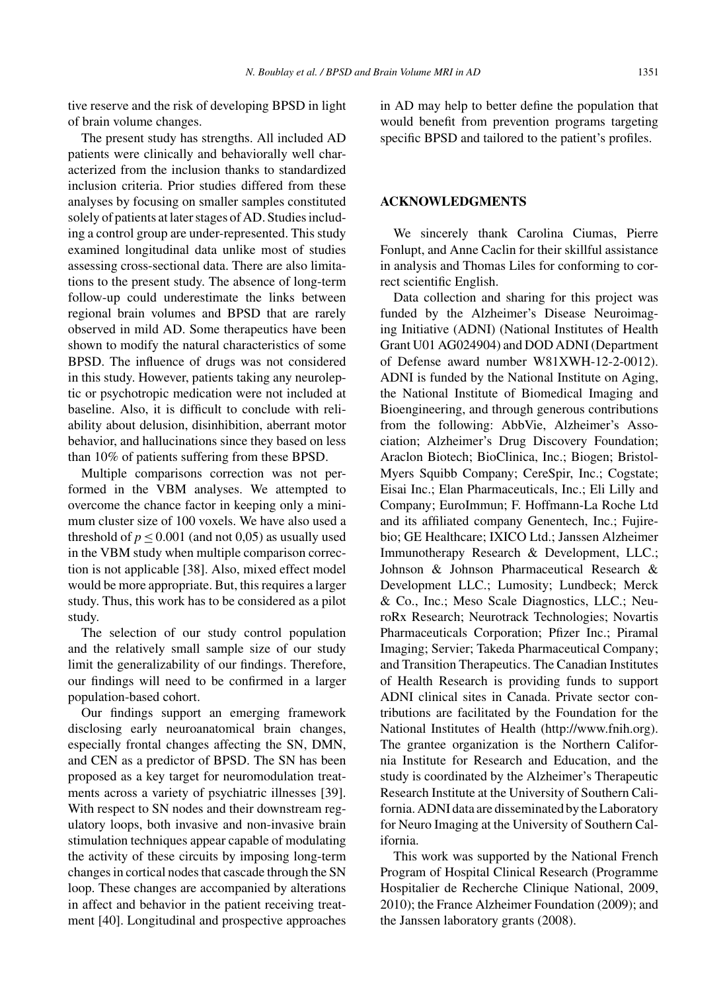tive reserve and the risk of developing BPSD in light of brain volume changes.

The present study has strengths. All included AD patients were clinically and behaviorally well characterized from the inclusion thanks to standardized inclusion criteria. Prior studies differed from these analyses by focusing on smaller samples constituted solely of patients at later stages of AD. Studies including a control group are under-represented. This study examined longitudinal data unlike most of studies assessing cross-sectional data. There are also limitations to the present study. The absence of long-term follow-up could underestimate the links between regional brain volumes and BPSD that are rarely observed in mild AD. Some therapeutics have been shown to modify the natural characteristics of some BPSD. The influence of drugs was not considered in this study. However, patients taking any neuroleptic or psychotropic medication were not included at baseline. Also, it is difficult to conclude with reliability about delusion, disinhibition, aberrant motor behavior, and hallucinations since they based on less than 10% of patients suffering from these BPSD.

Multiple comparisons correction was not performed in the VBM analyses. We attempted to overcome the chance factor in keeping only a minimum cluster size of 100 voxels. We have also used a threshold of  $p \le 0.001$  (and not 0,05) as usually used in the VBM study when multiple comparison correction is not applicable [38]. Also, mixed effect model would be more appropriate. But, this requires a larger study. Thus, this work has to be considered as a pilot study.

The selection of our study control population and the relatively small sample size of our study limit the generalizability of our findings. Therefore, our findings will need to be confirmed in a larger population-based cohort.

Our findings support an emerging framework disclosing early neuroanatomical brain changes, especially frontal changes affecting the SN, DMN, and CEN as a predictor of BPSD. The SN has been proposed as a key target for neuromodulation treatments across a variety of psychiatric illnesses [39]. With respect to SN nodes and their downstream regulatory loops, both invasive and non-invasive brain stimulation techniques appear capable of modulating the activity of these circuits by imposing long-term changes in cortical nodes that cascade through the SN loop. These changes are accompanied by alterations in affect and behavior in the patient receiving treatment [40]. Longitudinal and prospective approaches

in AD may help to better define the population that would benefit from prevention programs targeting specific BPSD and tailored to the patient's profiles.

## **ACKNOWLEDGMENTS**

We sincerely thank Carolina Ciumas, Pierre Fonlupt, and Anne Caclin for their skillful assistance in analysis and Thomas Liles for conforming to correct scientific English.

Data collection and sharing for this project was funded by the Alzheimer's Disease Neuroimaging Initiative (ADNI) (National Institutes of Health Grant U01 AG024904) and DOD ADNI (Department of Defense award number W81XWH-12-2-0012). ADNI is funded by the National Institute on Aging, the National Institute of Biomedical Imaging and Bioengineering, and through generous contributions from the following: AbbVie, Alzheimer's Association; Alzheimer's Drug Discovery Foundation; Araclon Biotech; BioClinica, Inc.; Biogen; Bristol-Myers Squibb Company; CereSpir, Inc.; Cogstate; Eisai Inc.; Elan Pharmaceuticals, Inc.; Eli Lilly and Company; EuroImmun; F. Hoffmann-La Roche Ltd and its affiliated company Genentech, Inc.; Fujirebio; GE Healthcare; IXICO Ltd.; Janssen Alzheimer Immunotherapy Research & Development, LLC.; Johnson & Johnson Pharmaceutical Research & Development LLC.; Lumosity; Lundbeck; Merck & Co., Inc.; Meso Scale Diagnostics, LLC.; NeuroRx Research; Neurotrack Technologies; Novartis Pharmaceuticals Corporation; Pfizer Inc.; Piramal Imaging; Servier; Takeda Pharmaceutical Company; and Transition Therapeutics. The Canadian Institutes of Health Research is providing funds to support ADNI clinical sites in Canada. Private sector contributions are facilitated by the Foundation for the National Institutes of Health [\(http://www.fnih.org](http://www.fnih.org)). The grantee organization is the Northern California Institute for Research and Education, and the study is coordinated by the Alzheimer's Therapeutic Research Institute at the University of Southern California. ADNI data are disseminated by the Laboratory for Neuro Imaging at the University of Southern California.

This work was supported by the National French Program of Hospital Clinical Research (Programme Hospitalier de Recherche Clinique National, 2009, 2010); the France Alzheimer Foundation (2009); and the Janssen laboratory grants (2008).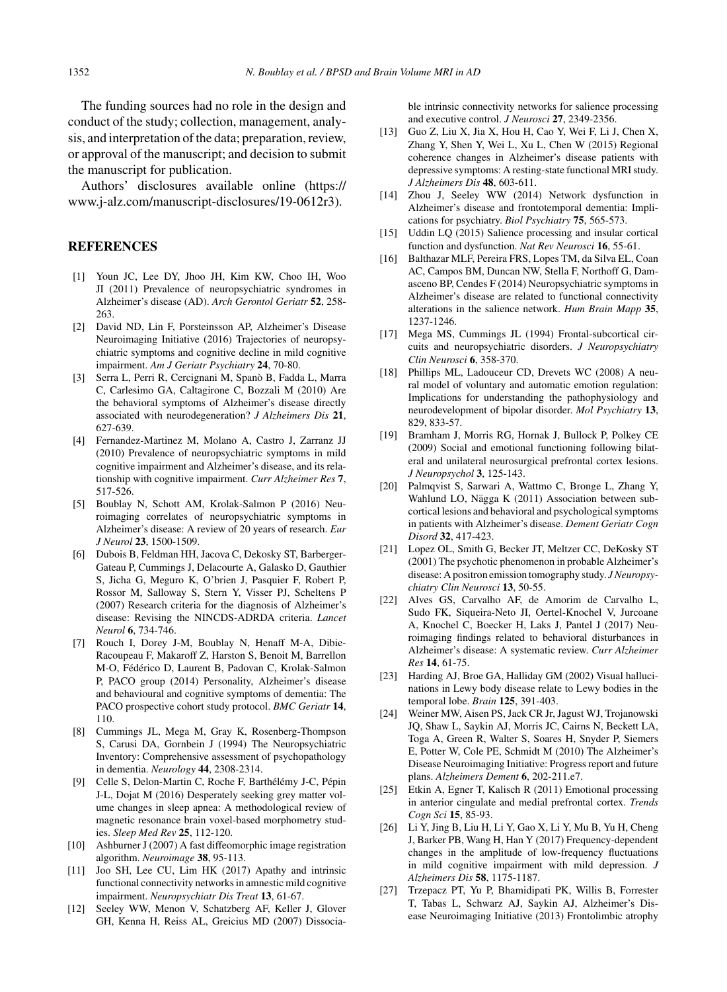The funding sources had no role in the design and conduct of the study; collection, management, analysis, and interpretation of the data; preparation, review, or approval of the manuscript; and decision to submit the manuscript for publication.

Authors' disclosures available online ([https://](https://www.j-alz.com/manuscript-disclosures/19-0612r3) [www.j-alz.com/manuscript-disclosures/19-0612r3\)](https://www.j-alz.com/manuscript-disclosures/19-0612r3).

## **REFERENCES**

- [1] Youn JC, Lee DY, Jhoo JH, Kim KW, Choo IH, Woo JI (2011) Prevalence of neuropsychiatric syndromes in Alzheimer's disease (AD). *Arch Gerontol Geriatr* **52**, 258- 263.
- [2] David ND, Lin F, Porsteinsson AP, Alzheimer's Disease Neuroimaging Initiative (2016) Trajectories of neuropsychiatric symptoms and cognitive decline in mild cognitive impairment. *Am J Geriatr Psychiatry* **24**, 70-80.
- [3] Serra L, Perri R, Cercignani M, Spano B, Fadda L, Marra ` C, Carlesimo GA, Caltagirone C, Bozzali M (2010) Are the behavioral symptoms of Alzheimer's disease directly associated with neurodegeneration? *J Alzheimers Dis* **21**, 627-639.
- [4] Fernandez-Martinez M, Molano A, Castro J, Zarranz JJ (2010) Prevalence of neuropsychiatric symptoms in mild cognitive impairment and Alzheimer's disease, and its relationship with cognitive impairment. *Curr Alzheimer Res* **7**, 517-526.
- [5] Boublay N, Schott AM, Krolak-Salmon P (2016) Neuroimaging correlates of neuropsychiatric symptoms in Alzheimer's disease: A review of 20 years of research. *Eur J Neurol* **23**, 1500-1509.
- [6] Dubois B, Feldman HH, Jacova C, Dekosky ST, Barberger-Gateau P, Cummings J, Delacourte A, Galasko D, Gauthier S, Jicha G, Meguro K, O'brien J, Pasquier F, Robert P, Rossor M, Salloway S, Stern Y, Visser PJ, Scheltens P (2007) Research criteria for the diagnosis of Alzheimer's disease: Revising the NINCDS-ADRDA criteria. *Lancet Neurol* **6**, 734-746.
- [7] Rouch I, Dorey J-M, Boublay N, Henaff M-A, Dibie-Racoupeau F, Makaroff Z, Harston S, Benoit M, Barrellon M-O, Fédérico D, Laurent B, Padovan C, Krolak-Salmon P, PACO group (2014) Personality, Alzheimer's disease and behavioural and cognitive symptoms of dementia: The PACO prospective cohort study protocol. *BMC Geriatr* **14**, 110.
- [8] Cummings JL, Mega M, Gray K, Rosenberg-Thompson S, Carusi DA, Gornbein J (1994) The Neuropsychiatric Inventory: Comprehensive assessment of psychopathology in dementia. *Neurology* **44**, 2308-2314.
- [9] Celle S, Delon-Martin C, Roche F, Barthélémy J-C, Pépin J-L, Dojat M (2016) Desperately seeking grey matter volume changes in sleep apnea: A methodological review of magnetic resonance brain voxel-based morphometry studies. *Sleep Med Rev* **25**, 112-120.
- [10] Ashburner J (2007) A fast diffeomorphic image registration algorithm. *Neuroimage* **38**, 95-113.
- [11] Joo SH, Lee CU, Lim HK (2017) Apathy and intrinsic functional connectivity networks in amnestic mild cognitive impairment. *Neuropsychiatr Dis Treat* **13**, 61-67.
- [12] Seeley WW, Menon V, Schatzberg AF, Keller J, Glover GH, Kenna H, Reiss AL, Greicius MD (2007) Dissocia-

ble intrinsic connectivity networks for salience processing and executive control. *J Neurosci* **27**, 2349-2356.

- [13] Guo Z, Liu X, Jia X, Hou H, Cao Y, Wei F, Li J, Chen X, Zhang Y, Shen Y, Wei L, Xu L, Chen W (2015) Regional coherence changes in Alzheimer's disease patients with depressive symptoms: A resting-state functional MRI study. *J Alzheimers Dis* **48**, 603-611.
- [14] Zhou J, Seeley WW (2014) Network dysfunction in Alzheimer's disease and frontotemporal dementia: Implications for psychiatry. *Biol Psychiatry* **75**, 565-573.
- [15] Uddin LQ (2015) Salience processing and insular cortical function and dysfunction. *Nat Rev Neurosci* **16**, 55-61.
- [16] Balthazar MLF, Pereira FRS, Lopes TM, da Silva EL, Coan AC, Campos BM, Duncan NW, Stella F, Northoff G, Damasceno BP, Cendes F (2014) Neuropsychiatric symptoms in Alzheimer's disease are related to functional connectivity alterations in the salience network. *Hum Brain Mapp* **35**, 1237-1246.
- [17] Mega MS, Cummings JL (1994) Frontal-subcortical circuits and neuropsychiatric disorders. *J Neuropsychiatry Clin Neurosci* **6**, 358-370.
- [18] Phillips ML, Ladouceur CD, Drevets WC (2008) A neural model of voluntary and automatic emotion regulation: Implications for understanding the pathophysiology and neurodevelopment of bipolar disorder. *Mol Psychiatry* **13**, 829, 833-57.
- [19] Bramham J, Morris RG, Hornak J, Bullock P, Polkey CE (2009) Social and emotional functioning following bilateral and unilateral neurosurgical prefrontal cortex lesions. *J Neuropsychol* **3**, 125-143.
- [20] Palmqvist S, Sarwari A, Wattmo C, Bronge L, Zhang Y, Wahlund LO, Nägga K (2011) Association between subcortical lesions and behavioral and psychological symptoms in patients with Alzheimer's disease. *Dement Geriatr Cogn Disord* **32**, 417-423.
- [21] Lopez OL, Smith G, Becker JT, Meltzer CC, DeKosky ST (2001) The psychotic phenomenon in probable Alzheimer's disease: A positron emission tomography study. *J Neuropsychiatry Clin Neurosci* **13**, 50-55.
- [22] Alves GS, Carvalho AF, de Amorim de Carvalho L, Sudo FK, Siqueira-Neto JI, Oertel-Knochel V, Jurcoane A, Knochel C, Boecker H, Laks J, Pantel J (2017) Neuroimaging findings related to behavioral disturbances in Alzheimer's disease: A systematic review. *Curr Alzheimer Res* **14**, 61-75.
- [23] Harding AJ, Broe GA, Halliday GM (2002) Visual hallucinations in Lewy body disease relate to Lewy bodies in the temporal lobe. *Brain* **125**, 391-403.
- [24] Weiner MW, Aisen PS, Jack CR Jr, Jagust WJ, Trojanowski JQ, Shaw L, Saykin AJ, Morris JC, Cairns N, Beckett LA, Toga A, Green R, Walter S, Soares H, Snyder P, Siemers E, Potter W, Cole PE, Schmidt M (2010) The Alzheimer's Disease Neuroimaging Initiative: Progress report and future plans. *Alzheimers Dement* **6**, 202-211.e7.
- [25] Etkin A, Egner T, Kalisch R (2011) Emotional processing in anterior cingulate and medial prefrontal cortex. *Trends Cogn Sci* **15**, 85-93.
- [26] Li Y, Jing B, Liu H, Li Y, Gao X, Li Y, Mu B, Yu H, Cheng J, Barker PB, Wang H, Han Y (2017) Frequency-dependent changes in the amplitude of low-frequency fluctuations in mild cognitive impairment with mild depression. *J Alzheimers Dis* **58**, 1175-1187.
- [27] Trzepacz PT, Yu P, Bhamidipati PK, Willis B, Forrester T, Tabas L, Schwarz AJ, Saykin AJ, Alzheimer's Disease Neuroimaging Initiative (2013) Frontolimbic atrophy